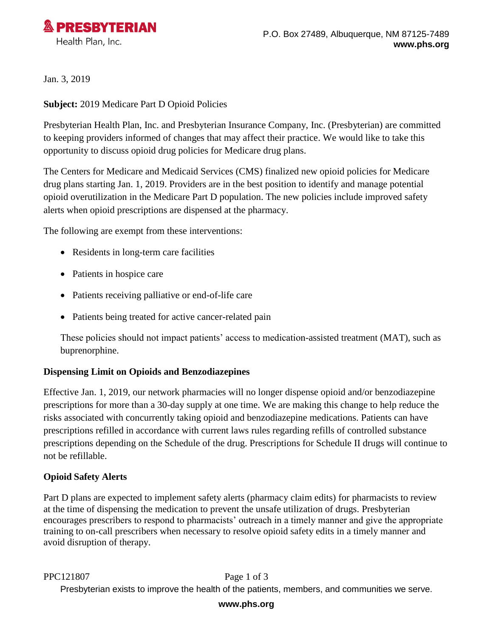

Jan. 3, 2019

**Subject:** 2019 Medicare Part D Opioid Policies

Presbyterian Health Plan, Inc. and Presbyterian Insurance Company, Inc. (Presbyterian) are committed to keeping providers informed of changes that may affect their practice. We would like to take this opportunity to discuss opioid drug policies for Medicare drug plans.

The Centers for Medicare and Medicaid Services (CMS) [finalized new opioid policies f](https://www.cms.gov/Medicare/Prescription-Drug-coverage/PrescriptionDrugCovContra/RxUtilization.html)or Medicare drug plans starting Jan. 1, 2019. Providers are in the best position to identify and manage potential opioid overutilization in the Medicare Part D population. The new policies include improved safety alerts when opioid prescriptions are dispensed at the pharmacy.

The following are exempt from these interventions:

- Residents in long-term care facilities
- Patients in hospice care
- Patients receiving palliative or end-of-life care
- Patients being treated for active cancer-related pain

These policies should not impact patients' access to medication-assisted treatment (MAT), such as buprenorphine.

## **Dispensing Limit on Opioids and Benzodiazepines**

Effective Jan. 1, 2019, our network pharmacies will no longer dispense opioid and/or benzodiazepine prescriptions for more than a 30-day supply at one time. We are making this change to help reduce the risks associated with concurrently taking opioid and benzodiazepine medications. Patients can have prescriptions refilled in accordance with current laws rules regarding refills of controlled substance prescriptions depending on the Schedule of the drug. Prescriptions for Schedule II drugs will continue to not be refillable.

## **Opioid Safety Alerts**

Part D plans are expected to implement safety alerts (pharmacy claim edits) for pharmacists to review at the time of dispensing the medication to prevent the unsafe utilization of drugs. Presbyterian encourages prescribers to respond to pharmacists' outreach in a timely manner and give the appropriate training to on-call prescribers when necessary to resolve opioid safety edits in a timely manner and avoid disruption of therapy.

PPC121807 Page 1 of 3

Presbyterian exists to improve the health of the patients, members, and communities we serve.

## **www.phs.org**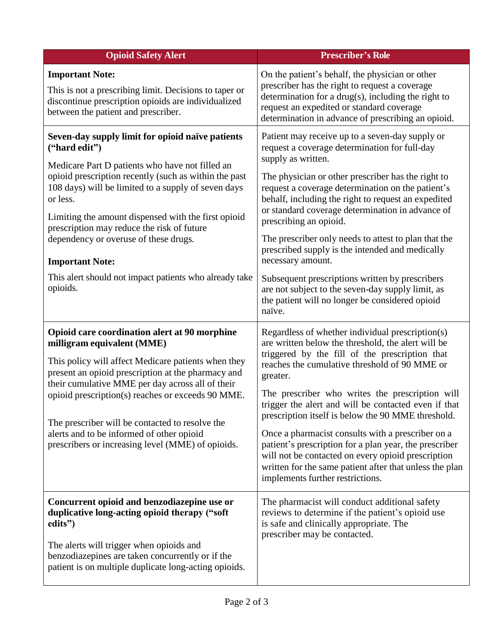| <b>Opioid Safety Alert</b>                                                                                                                                                                                                                                                                                                                                                                                                                                                                     | <b>Prescriber's Role</b>                                                                                                                                                                                                                                                                                                                                                                                                                                                                                                                                                                                                                                                    |
|------------------------------------------------------------------------------------------------------------------------------------------------------------------------------------------------------------------------------------------------------------------------------------------------------------------------------------------------------------------------------------------------------------------------------------------------------------------------------------------------|-----------------------------------------------------------------------------------------------------------------------------------------------------------------------------------------------------------------------------------------------------------------------------------------------------------------------------------------------------------------------------------------------------------------------------------------------------------------------------------------------------------------------------------------------------------------------------------------------------------------------------------------------------------------------------|
| <b>Important Note:</b><br>This is not a prescribing limit. Decisions to taper or<br>discontinue prescription opioids are individualized<br>between the patient and prescriber.                                                                                                                                                                                                                                                                                                                 | On the patient's behalf, the physician or other<br>prescriber has the right to request a coverage<br>determination for a drug(s), including the right to<br>request an expedited or standard coverage<br>determination in advance of prescribing an opioid.                                                                                                                                                                                                                                                                                                                                                                                                                 |
| Seven-day supply limit for opioid naïve patients<br>("hard edit")<br>Medicare Part D patients who have not filled an<br>opioid prescription recently (such as within the past<br>108 days) will be limited to a supply of seven days<br>or less.<br>Limiting the amount dispensed with the first opioid<br>prescription may reduce the risk of future<br>dependency or overuse of these drugs.<br><b>Important Note:</b><br>This alert should not impact patients who already take<br>opioids. | Patient may receive up to a seven-day supply or<br>request a coverage determination for full-day<br>supply as written.<br>The physician or other prescriber has the right to<br>request a coverage determination on the patient's<br>behalf, including the right to request an expedited<br>or standard coverage determination in advance of<br>prescribing an opioid.<br>The prescriber only needs to attest to plan that the<br>prescribed supply is the intended and medically<br>necessary amount.<br>Subsequent prescriptions written by prescribers<br>are not subject to the seven-day supply limit, as<br>the patient will no longer be considered opioid<br>naïve. |
| Opioid care coordination alert at 90 morphine<br>milligram equivalent (MME)<br>This policy will affect Medicare patients when they<br>present an opioid prescription at the pharmacy and<br>their cumulative MME per day across all of their<br>opioid prescription(s) reaches or exceeds 90 MME.<br>The prescriber will be contacted to resolve the<br>alerts and to be informed of other opioid<br>prescribers or increasing level (MME) of opioids.                                         | Regardless of whether individual prescription(s)<br>are written below the threshold, the alert will be<br>triggered by the fill of the prescription that<br>reaches the cumulative threshold of 90 MME or<br>greater.<br>The prescriber who writes the prescription will<br>trigger the alert and will be contacted even if that<br>prescription itself is below the 90 MME threshold.<br>Once a pharmacist consults with a prescriber on a<br>patient's prescription for a plan year, the prescriber<br>will not be contacted on every opioid prescription<br>written for the same patient after that unless the plan<br>implements further restrictions.                  |
| Concurrent opioid and benzodiazepine use or<br>duplicative long-acting opioid therapy ("soft<br>edits")<br>The alerts will trigger when opioids and<br>benzodiazepines are taken concurrently or if the<br>patient is on multiple duplicate long-acting opioids.                                                                                                                                                                                                                               | The pharmacist will conduct additional safety<br>reviews to determine if the patient's opioid use<br>is safe and clinically appropriate. The<br>prescriber may be contacted.                                                                                                                                                                                                                                                                                                                                                                                                                                                                                                |